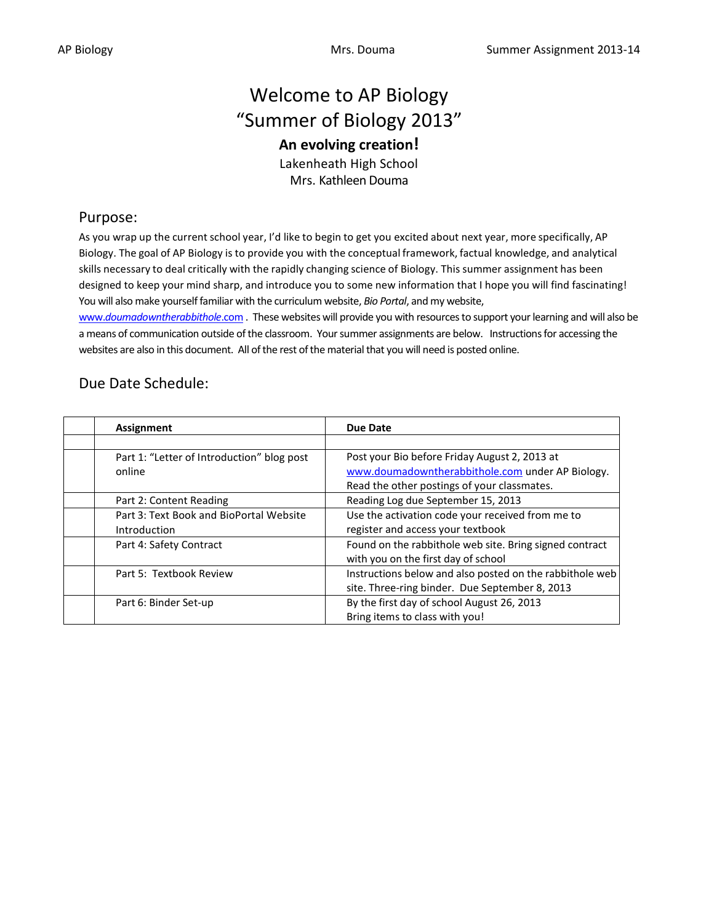# Welcome to AP Biology "Summer of Biology 2013"

# **An evolving creation!**

Lakenheath High School Mrs. Kathleen Douma

# Purpose:

As you wrap up the current school year, I'd like to begin to get you excited about next year, more specifically, AP Biology. The goal of AP Biology is to provide you with the conceptual framework, factual knowledge, and analytical skills necessary to deal critically with the rapidly changing science of Biology. This summer assignment has been designed to keep your mind sharp, and introduce you to some new information that I hope you will find fascinating! You will also make yourself familiar with the curriculum website, *Bio Portal*, and my website,

www.*[doumadowntherabbithole](http://www.doumadowntherabbithole.com/)*.com . These websites will provide you with resources to support your learning and will also be a means of communication outside of the classroom. Your summer assignments are below. Instructions for accessing the websites are also in this document. All of the rest of the material that you will need is posted online.

# Due Date Schedule:

| Assignment                                                     | <b>Due Date</b>                                                                                                                                  |
|----------------------------------------------------------------|--------------------------------------------------------------------------------------------------------------------------------------------------|
|                                                                |                                                                                                                                                  |
| Part 1: "Letter of Introduction" blog post<br>online           | Post your Bio before Friday August 2, 2013 at<br>www.doumadowntherabbithole.com under AP Biology.<br>Read the other postings of your classmates. |
| Part 2: Content Reading                                        | Reading Log due September 15, 2013                                                                                                               |
| Part 3: Text Book and BioPortal Website<br><b>Introduction</b> | Use the activation code your received from me to<br>register and access your textbook                                                            |
| Part 4: Safety Contract                                        | Found on the rabbithole web site. Bring signed contract<br>with you on the first day of school                                                   |
| Part 5: Textbook Review                                        | Instructions below and also posted on the rabbithole web<br>site. Three-ring binder. Due September 8, 2013                                       |
| Part 6: Binder Set-up                                          | By the first day of school August 26, 2013<br>Bring items to class with you!                                                                     |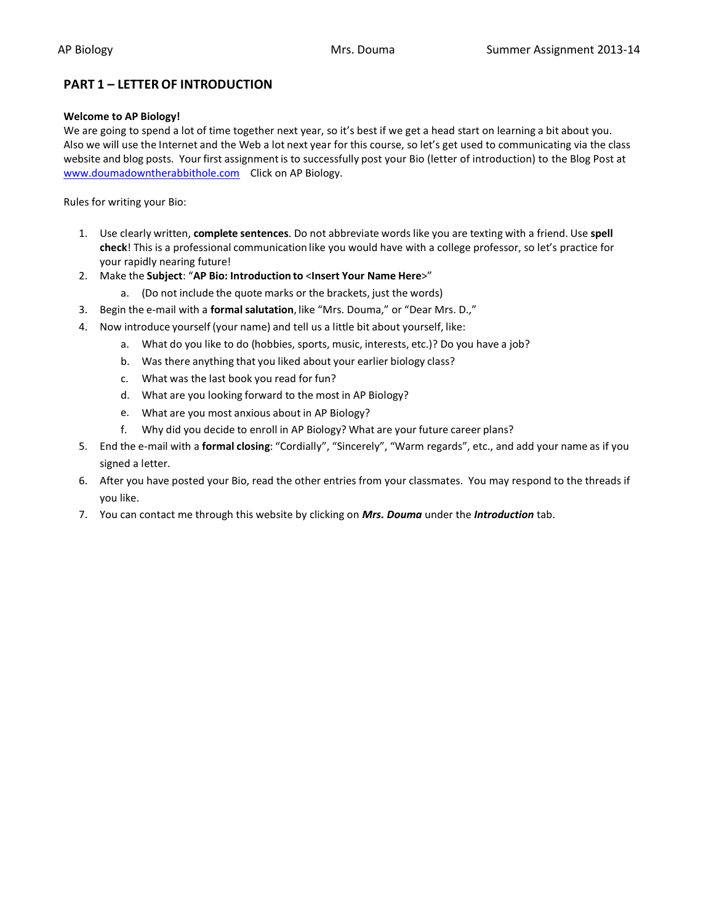# **PART 1 – LETTER OF INTRODUCTION**

#### **Welcome to AP Biology!**

We are going to spend a lot of time together next year, so it's best if we get a head start on learning a bit about you. Also we will use the Internet and the Web a lot next year for this course, so let's get used to communicating via the class website and blog posts. Your first assignmentis to successfully post your Bio (letter of introduction) to the Blog Post at [www.doumadowntherabbithole.com](http://www.doumadowntherabbithole.com/) Click on AP Biology.

Rules for writing your Bio:

- 1. Use clearly written, **complete sentences**. Do not abbreviate words like you are texting with a friend. Use **spell check**! This is a professional communication like you would have with a college professor, so let's practice for your rapidly nearing future!
- 2. Make the **Subject**: "**AP Bio: Introduction to** <**Insert Your Name Here**>"
	- a. (Do not include the quote marks or the brackets, just the words)
- 3. Begin the e-mail with a **formal salutation**, like "Mrs. Douma," or "Dear Mrs. D.,"
- 4. Now introduce yourself (your name) and tell us a little bit about yourself, like:
	- a. What do you like to do (hobbies, sports, music, interests, etc.)? Do you have a job?
	- b. Was there anything that you liked about your earlier biology class?
	- c. What was the last book you read for fun?
	- d. What are you looking forward to the most in AP Biology?
	- e. What are you most anxious about in AP Biology?
	- f. Why did you decide to enroll in AP Biology? What are your future career plans?
- 5. End the e-mail with a **formal closing**: "Cordially", "Sincerely", "Warm regards", etc., and add your name as if you signed a letter.
- 6. After you have posted your Bio, read the other entries from your classmates. You may respond to the threads if you like.
- 7. You can contact me through this website by clicking on *Mrs. Douma* under the *Introduction* tab.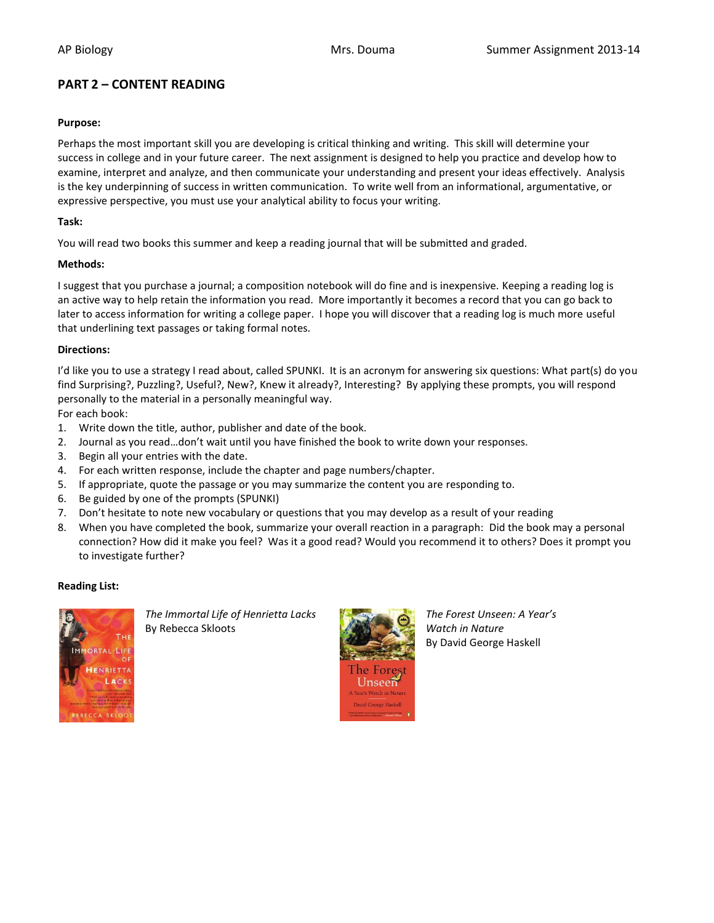# **PART 2 – CONTENT READING**

#### **Purpose:**

Perhaps the most important skill you are developing is critical thinking and writing. This skill will determine your success in college and in your future career. The next assignment is designed to help you practice and develop how to examine, interpret and analyze, and then communicate your understanding and present your ideas effectively. Analysis is the key underpinning of success in written communication. To write well from an informational, argumentative, or expressive perspective, you must use your analytical ability to focus your writing.

# **Task:**

You will read two books this summer and keep a reading journal that will be submitted and graded.

#### **Methods:**

I suggest that you purchase a journal; a composition notebook will do fine and is inexpensive. Keeping a reading log is an active way to help retain the information you read. More importantly it becomes a record that you can go back to later to access information for writing a college paper. I hope you will discover that a reading log is much more useful that underlining text passages or taking formal notes.

# **Directions:**

I'd like you to use a strategy I read about, called SPUNKI. It is an acronym for answering six questions: What part(s) do you find Surprising?, Puzzling?, Useful?, New?, Knew it already?, Interesting? By applying these prompts, you will respond personally to the material in a personally meaningful way.

For each book:

- 1. Write down the title, author, publisher and date of the book.
- 2. Journal as you read…don't wait until you have finished the book to write down your responses.
- 3. Begin all your entries with the date.
- 4. For each written response, include the chapter and page numbers/chapter.
- 5. If appropriate, quote the passage or you may summarize the content you are responding to.
- 6. Be guided by one of the prompts (SPUNKI)
- 7. Don't hesitate to note new vocabulary or questions that you may develop as a result of your reading
- 8. When you have completed the book, summarize your overall reaction in a paragraph: Did the book may a personal connection? How did it make you feel? Was it a good read? Would you recommend it to others? Does it prompt you to investigate further?

#### **Reading List:**



*The Immortal Life of Henrietta Lacks The Forest Unseen: A Year's* By Rebecca Skloots **Watch in Nature By Rebecca** Skloots **Watch in Nature** 



By David George Haskell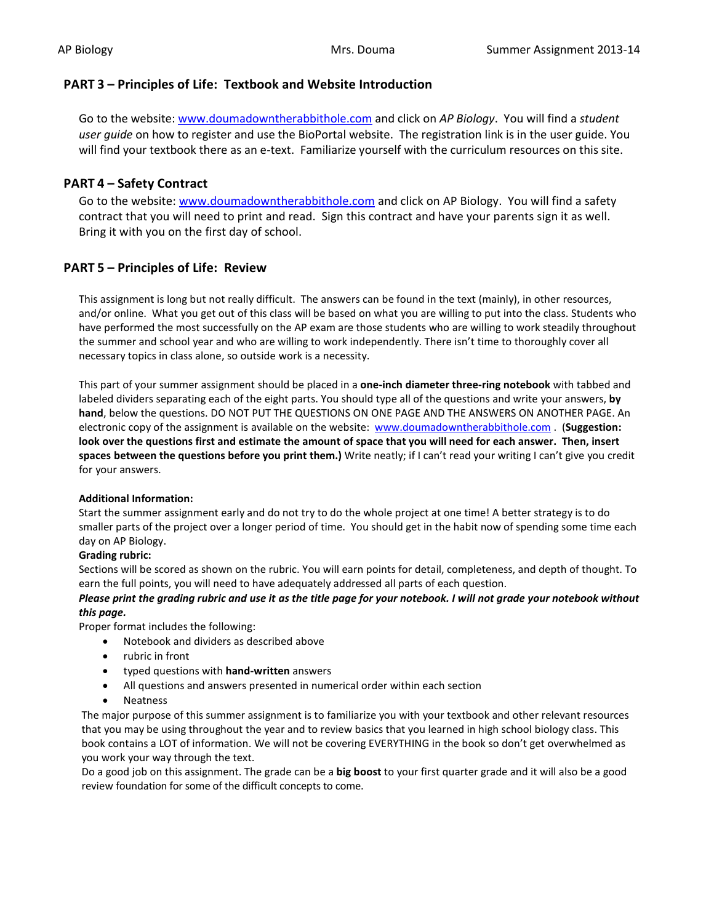# **PART 3 – Principles of Life: Textbook and Website Introduction**

Go to the website[: www.doumadowntherabbithole.com](http://www.doumadowntherabbithole.com/) and click on *AP Biology*. You will find a *student user guide* on how to register and use the BioPortal website. The registration link is in the user guide. You will find your textbook there as an e-text. Familiarize yourself with the curriculum resources on this site.

# **PART 4 – Safety Contract**

Go to the website: [www.doumadowntherabbithole.com](http://www.doumadowntherabbithole.com/) and click on AP Biology. You will find a safety contract that you will need to print and read. Sign this contract and have your parents sign it as well. Bring it with you on the first day of school.

# **PART 5 – Principles of Life: Review**

This assignment is long but not really difficult. The answers can be found in the text (mainly), in other resources, and/or online. What you get out of this class will be based on what you are willing to put into the class. Students who have performed the most successfully on the AP exam are those students who are willing to work steadily throughout the summer and school year and who are willing to work independently. There isn't time to thoroughly cover all necessary topics in class alone, so outside work is a necessity.

This part of your summer assignment should be placed in a **one-inch diameter three-ring notebook** with tabbed and labeled dividers separating each of the eight parts. You should type all of the questions and write your answers, **by hand**, below the questions. DO NOT PUT THE QUESTIONS ON ONE PAGE AND THE ANSWERS ON ANOTHER PAGE. An electronic copy of the assignment is available on the website: [www.doumadowntherabbithole.com](http://www.doumadowntherabbithole.com/) . (**Suggestion: look over the questions first and estimate the amount of space that you will need for each answer. Then, insert spaces between the questions before you print them.)** Write neatly; if I can't read your writing I can't give you credit for your answers.

#### **Additional Information:**

Start the summer assignment early and do not try to do the whole project at one time! A better strategy is to do smaller parts of the project over a longer period of time. You should get in the habit now of spending some time each day on AP Biology.

#### **Grading rubric:**

Sections will be scored as shown on the rubric. You will earn points for detail, completeness, and depth of thought. To earn the full points, you will need to have adequately addressed all parts of each question.

# *Please print the grading rubric and use it as the title page for your notebook. I will not grade your notebook without this page.*

Proper format includes the following:

- Notebook and dividers as described above
- rubric in front
- typed questions with **hand-written** answers
- All questions and answers presented in numerical order within each section
- Neatness

The major purpose of this summer assignment is to familiarize you with your textbook and other relevant resources that you may be using throughout the year and to review basics that you learned in high school biology class. This book contains a LOT of information. We will not be covering EVERYTHING in the book so don't get overwhelmed as you work your way through the text.

Do a good job on this assignment. The grade can be a **big boost** to your first quarter grade and it will also be a good review foundation for some of the difficult concepts to come.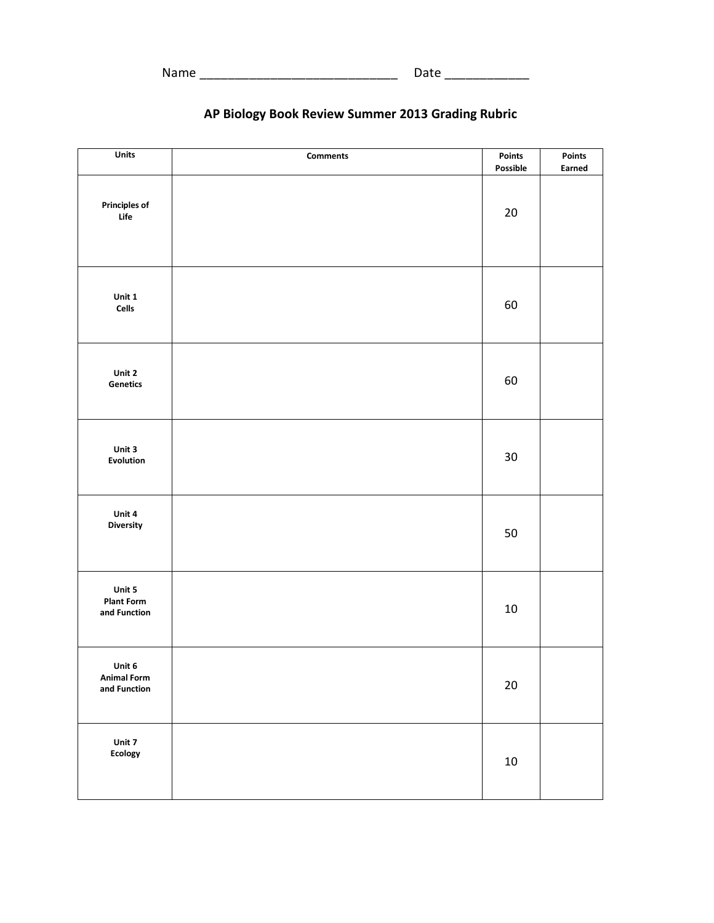# **AP Biology Book Review Summer 2013 Grading Rubric**

| Units                                        | <b>Comments</b> | Points<br>Possible | Points<br>Earned |
|----------------------------------------------|-----------------|--------------------|------------------|
| <b>Principles of</b><br>Life                 |                 | 20                 |                  |
| Unit 1<br>Cells                              |                 | 60                 |                  |
| Unit 2<br>Genetics                           |                 | 60                 |                  |
| Unit 3<br>Evolution                          |                 | 30                 |                  |
| Unit 4<br><b>Diversity</b>                   |                 | 50                 |                  |
| Unit 5<br><b>Plant Form</b><br>and Function  |                 | $10\,$             |                  |
| Unit 6<br><b>Animal Form</b><br>and Function |                 | $20\,$             |                  |
| Unit 7<br><b>Ecology</b>                     |                 | $10\,$             |                  |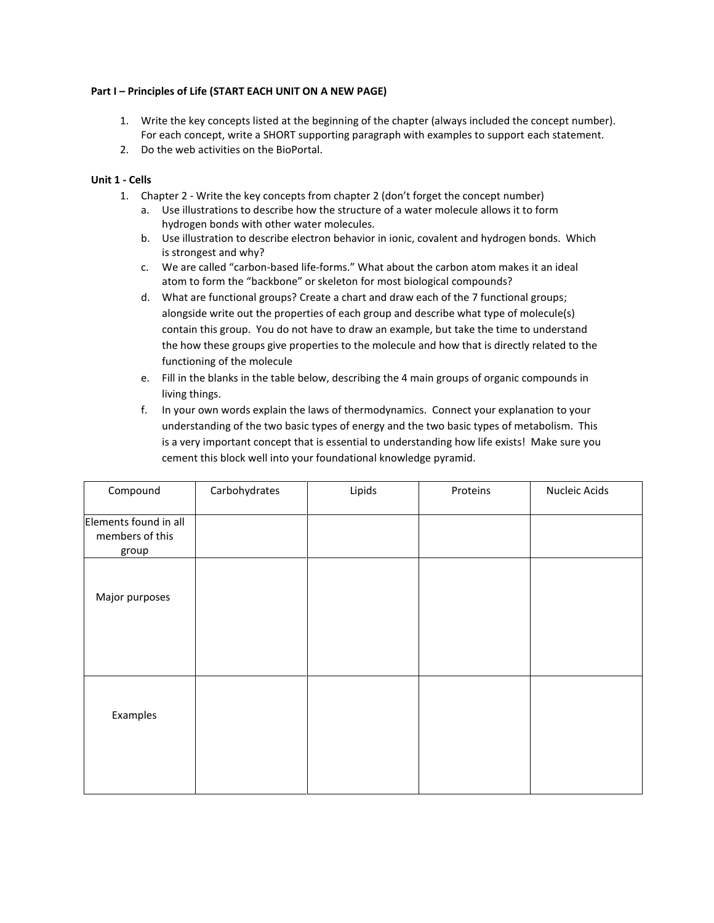#### **Part I – Principles of Life (START EACH UNIT ON A NEW PAGE)**

- 1. Write the key concepts listed at the beginning of the chapter (always included the concept number). For each concept, write a SHORT supporting paragraph with examples to support each statement.
- 2. Do the web activities on the BioPortal.

#### **Unit 1 - Cells**

- 1. Chapter 2 Write the key concepts from chapter 2 (don't forget the concept number)
	- a. Use illustrations to describe how the structure of a water molecule allows it to form hydrogen bonds with other water molecules.
	- b. Use illustration to describe electron behavior in ionic, covalent and hydrogen bonds. Which is strongest and why?
	- c. We are called "carbon-based life-forms." What about the carbon atom makes it an ideal atom to form the "backbone" or skeleton for most biological compounds?
	- d. What are functional groups? Create a chart and draw each of the 7 functional groups; alongside write out the properties of each group and describe what type of molecule(s) contain this group. You do not have to draw an example, but take the time to understand the how these groups give properties to the molecule and how that is directly related to the functioning of the molecule
	- e. Fill in the blanks in the table below, describing the 4 main groups of organic compounds in living things.
	- f. In your own words explain the laws of thermodynamics. Connect your explanation to your understanding of the two basic types of energy and the two basic types of metabolism. This is a very important concept that is essential to understanding how life exists! Make sure you cement this block well into your foundational knowledge pyramid.

| Compound              | Carbohydrates | Lipids | Proteins | Nucleic Acids |
|-----------------------|---------------|--------|----------|---------------|
|                       |               |        |          |               |
| Elements found in all |               |        |          |               |
| members of this       |               |        |          |               |
| group                 |               |        |          |               |
|                       |               |        |          |               |
|                       |               |        |          |               |
| Major purposes        |               |        |          |               |
|                       |               |        |          |               |
|                       |               |        |          |               |
|                       |               |        |          |               |
|                       |               |        |          |               |
|                       |               |        |          |               |
|                       |               |        |          |               |
| Examples              |               |        |          |               |
|                       |               |        |          |               |
|                       |               |        |          |               |
|                       |               |        |          |               |
|                       |               |        |          |               |
|                       |               |        |          |               |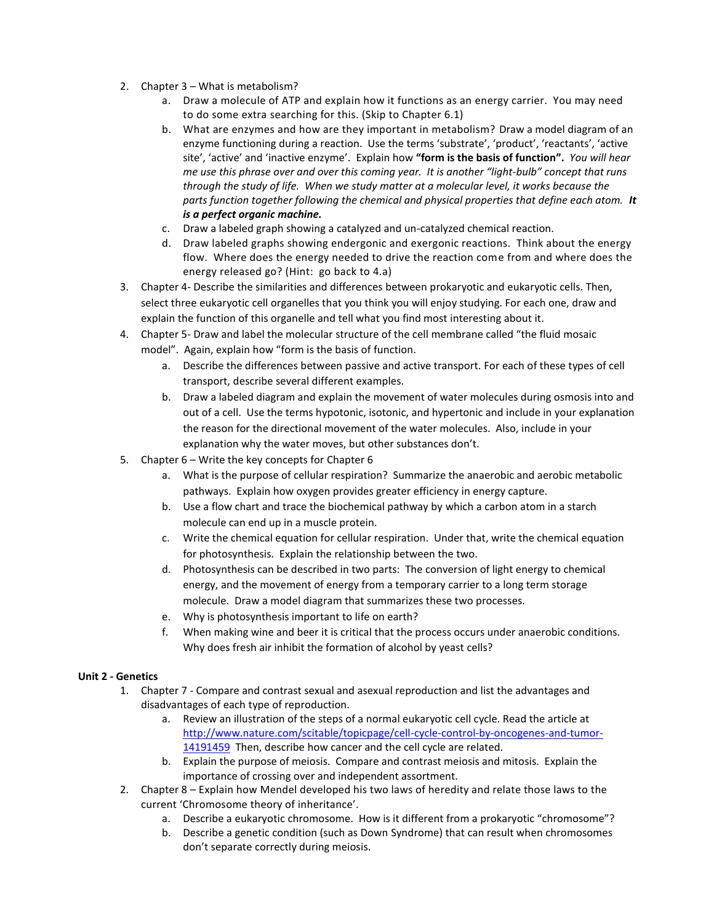- 2. Chapter 3 What is metabolism?
	- a. Draw a molecule of ATP and explain how it functions as an energy carrier. You may need to do some extra searching for this. (Skip to Chapter 6.1)
	- b. What are enzymes and how are they important in metabolism? Draw a model diagram of an enzyme functioning during a reaction. Use the terms 'substrate', 'product', 'reactants', 'active site', 'active' and 'inactive enzyme'. Explain how **"form is the basis of function".** *You will hear me use this phrase over and over this coming year. It is another "light-bulb" concept that runs through the study of life. When we study matter at a molecular level, it works because the parts function together following the chemical and physical properties that define each atom. It is a perfect organic machine.*
	- c. Draw a labeled graph showing a catalyzed and un-catalyzed chemical reaction.
	- d. Draw labeled graphs showing endergonic and exergonic reactions. Think about the energy flow. Where does the energy needed to drive the reaction come from and where does the energy released go? (Hint: go back to 4.a)
- 3. Chapter 4- Describe the similarities and differences between prokaryotic and eukaryotic cells. Then, select three eukaryotic cell organelles that you think you will enjoy studying. For each one, draw and explain the function of this organelle and tell what you find most interesting about it.
- 4. Chapter 5- Draw and label the molecular structure of the cell membrane called "the fluid mosaic model". Again, explain how "form is the basis of function.
	- a. Describe the differences between passive and active transport. For each of these types of cell transport, describe several different examples.
	- b. Draw a labeled diagram and explain the movement of water molecules during osmosis into and out of a cell. Use the terms hypotonic, isotonic, and hypertonic and include in your explanation the reason for the directional movement of the water molecules. Also, include in your explanation why the water moves, but other substances don't.
- 5. Chapter 6 Write the key concepts for Chapter 6
	- a. What is the purpose of cellular respiration? Summarize the anaerobic and aerobic metabolic pathways. Explain how oxygen provides greater efficiency in energy capture.
	- b. Use a flow chart and trace the biochemical pathway by which a carbon atom in a starch molecule can end up in a muscle protein.
	- c. Write the chemical equation for cellular respiration. Under that, write the chemical equation for photosynthesis. Explain the relationship between the two.
	- d. Photosynthesis can be described in two parts: The conversion of light energy to chemical energy, and the movement of energy from a temporary carrier to a long term storage molecule. Draw a model diagram that summarizes these two processes.
	- e. Why is photosynthesis important to life on earth?
	- f. When making wine and beer it is critical that the process occurs under anaerobic conditions. Why does fresh air inhibit the formation of alcohol by yeast cells?

# **Unit 2 - Genetics**

- 1. Chapter 7 Compare and contrast sexual and asexual reproduction and list the advantages and disadvantages of each type of reproduction.
	- a. Review an illustration of the steps of a normal eukaryotic cell cycle. Read the article at [http://www.nature.com/scitable/topicpage/cell-cycle-control-by-oncogenes-and-tumor-](http://www.nature.com/scitable/topicpage/cell-cycle-control-by-oncogenes-and-tumor-14191459)[14191459](http://www.nature.com/scitable/topicpage/cell-cycle-control-by-oncogenes-and-tumor-14191459) Then, describe how cancer and the cell cycle are related.
	- b. Explain the purpose of meiosis. Compare and contrast meiosis and mitosis. Explain the importance of crossing over and independent assortment.
- 2. Chapter 8 Explain how Mendel developed his two laws of heredity and relate those laws to the current 'Chromosome theory of inheritance'.
	- a. Describe a eukaryotic chromosome. How is it different from a prokaryotic "chromosome"?
	- b. Describe a genetic condition (such as Down Syndrome) that can result when chromosomes don't separate correctly during meiosis.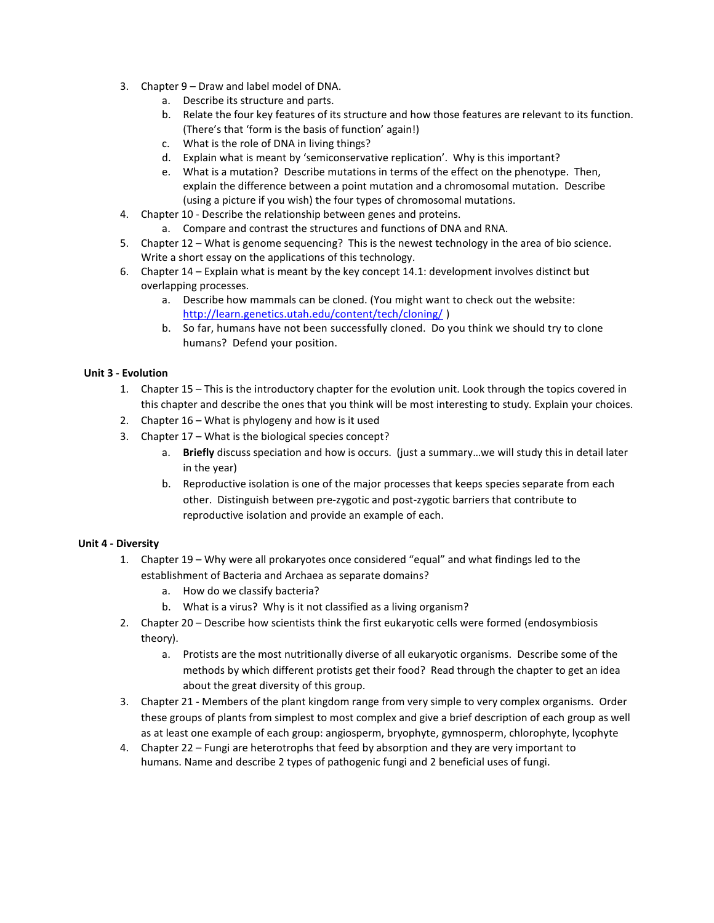- 3. Chapter 9 Draw and label model of DNA.
	- a. Describe its structure and parts.
	- b. Relate the four key features of its structure and how those features are relevant to its function. (There's that 'form is the basis of function' again!)
	- c. What is the role of DNA in living things?
	- d. Explain what is meant by 'semiconservative replication'. Why is this important?
	- e. What is a mutation? Describe mutations in terms of the effect on the phenotype. Then, explain the difference between a point mutation and a chromosomal mutation. Describe (using a picture if you wish) the four types of chromosomal mutations.
- 4. Chapter 10 Describe the relationship between genes and proteins.
	- a. Compare and contrast the structures and functions of DNA and RNA.
- 5. Chapter 12 What is genome sequencing? This is the newest technology in the area of bio science. Write a short essay on the applications of this technology.
- 6. Chapter 14 Explain what is meant by the key concept 14.1: development involves distinct but overlapping processes.
	- a. Describe how mammals can be cloned. (You might want to check out the website: <http://learn.genetics.utah.edu/content/tech/cloning/> )
	- b. So far, humans have not been successfully cloned. Do you think we should try to clone humans? Defend your position.

# **Unit 3 - Evolution**

- 1. Chapter 15 This is the introductory chapter for the evolution unit. Look through the topics covered in this chapter and describe the ones that you think will be most interesting to study. Explain your choices.
- 2. Chapter 16 What is phylogeny and how is it used
- 3. Chapter 17 What is the biological species concept?
	- a. **Briefly** discuss speciation and how is occurs. (just a summary…we will study this in detail later in the year)
	- b. Reproductive isolation is one of the major processes that keeps species separate from each other. Distinguish between pre-zygotic and post-zygotic barriers that contribute to reproductive isolation and provide an example of each.

#### **Unit 4 - Diversity**

- 1. Chapter 19 Why were all prokaryotes once considered "equal" and what findings led to the establishment of Bacteria and Archaea as separate domains?
	- a. How do we classify bacteria?
	- b. What is a virus? Why is it not classified as a living organism?
- 2. Chapter 20 Describe how scientists think the first eukaryotic cells were formed (endosymbiosis theory).
	- a. Protists are the most nutritionally diverse of all eukaryotic organisms. Describe some of the methods by which different protists get their food? Read through the chapter to get an idea about the great diversity of this group.
- 3. Chapter 21 Members of the plant kingdom range from very simple to very complex organisms. Order these groups of plants from simplest to most complex and give a brief description of each group as well as at least one example of each group: angiosperm, bryophyte, gymnosperm, chlorophyte, lycophyte
- 4. Chapter 22 Fungi are heterotrophs that feed by absorption and they are very important to humans. Name and describe 2 types of pathogenic fungi and 2 beneficial uses of fungi.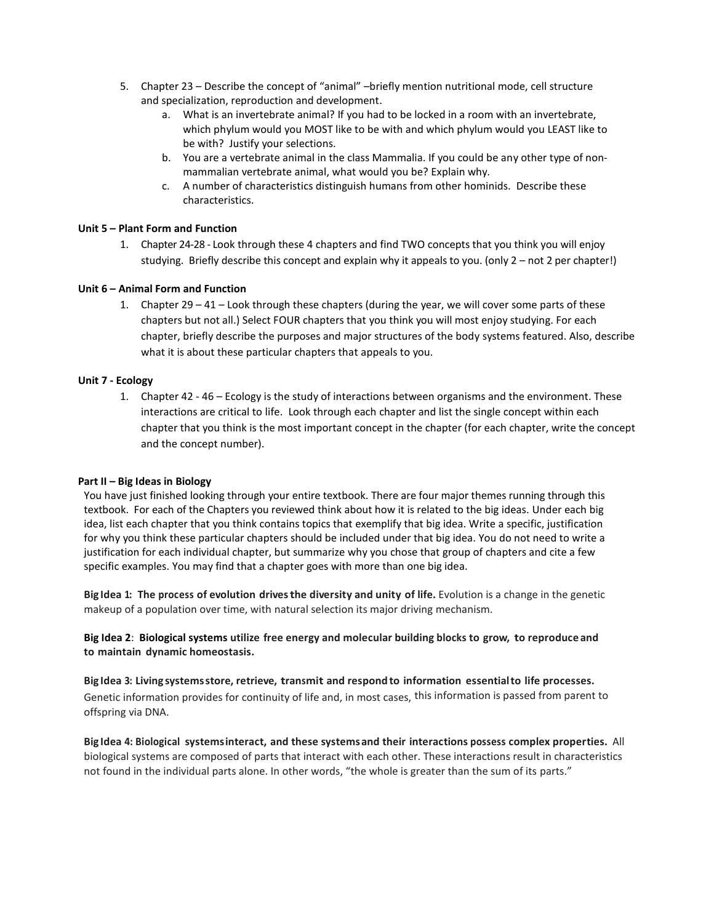- 5. Chapter 23 Describe the concept of "animal" –briefly mention nutritional mode, cell structure and specialization, reproduction and development.
	- a. What is an invertebrate animal? If you had to be locked in a room with an invertebrate, which phylum would you MOST like to be with and which phylum would you LEAST like to be with? Justify your selections.
	- b. You are a vertebrate animal in the class Mammalia. If you could be any other type of nonmammalian vertebrate animal, what would you be? Explain why.
	- c. A number of characteristics distinguish humans from other hominids. Describe these characteristics.

#### **Unit 5 – Plant Form and Function**

1. Chapter 24-28 - Look through these 4 chapters and find TWO concepts that you think you will enjoy studying. Briefly describe this concept and explain why it appeals to you. (only 2 – not 2 per chapter!)

# **Unit 6 – Animal Form and Function**

1. Chapter  $29 - 41 -$  Look through these chapters (during the year, we will cover some parts of these chapters but not all.) Select FOUR chapters that you think you will most enjoy studying. For each chapter, briefly describe the purposes and major structures of the body systems featured. Also, describe what it is about these particular chapters that appeals to you.

# **Unit 7 - Ecology**

1. Chapter 42 - 46 – Ecology is the study of interactions between organisms and the environment. These interactions are critical to life. Look through each chapter and list the single concept within each chapter that you think is the most important concept in the chapter (for each chapter, write the concept and the concept number).

#### **Part II – Big Ideas in Biology**

You have just finished looking through your entire textbook. There are four major themes running through this textbook. For each of the Chapters you reviewed think about how it is related to the big ideas. Under each big idea, list each chapter that you think contains topics that exemplify that big idea. Write a specific, justification for why you think these particular chapters should be included under that big idea. You do not need to write a justification for each individual chapter, but summarize why you chose that group of chapters and cite a few specific examples. You may find that a chapter goes with more than one big idea.

**Big Idea 1: The process of evolution drivesthe diversity and unity of life.** Evolution is a change in the genetic makeup of a population over time, with natural selection its major driving mechanism.

# **Big Idea 2**: **Biological systems utilize free energy and molecular building blocks to grow, to reproduce and to maintain dynamic homeostasis.**

**Big Idea 3: Living systemsstore, retrieve, transmit and respond to information essentialto life processes.**  Genetic information provides for continuity of life and, in most cases, this information is passed from parent to offspring via DNA.

**Big Idea 4: Biological systemsinteract, and these systemsand their interactions possess complex properties.** All biological systems are composed of parts that interact with each other. These interactions result in characteristics not found in the individual parts alone. In other words, "the whole is greater than the sum of its parts."